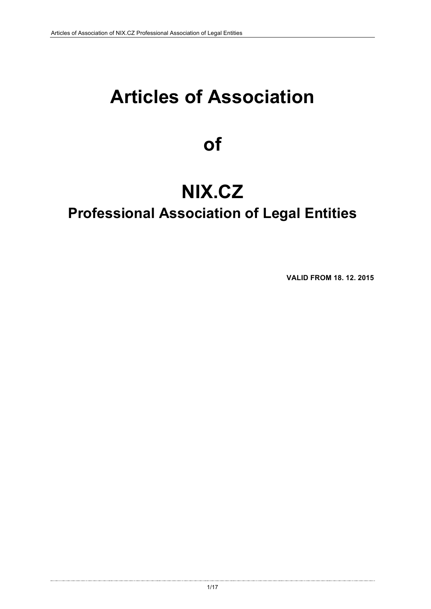# **Articles of Association**

## **of**

# **NIX.CZ**

## **Professional Association of Legal Entities**

**VALID FROM 18. 12. 2015**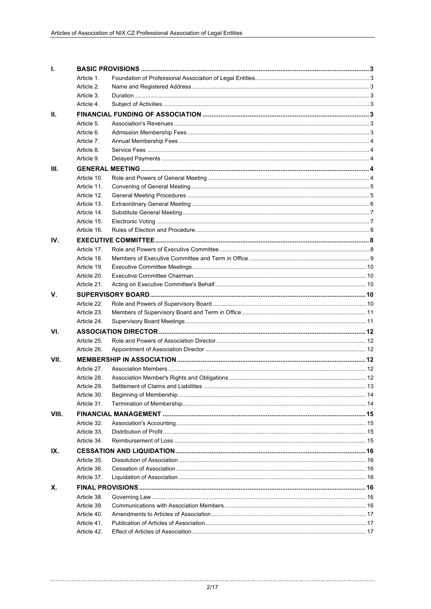| Т.    |                            |  |  |
|-------|----------------------------|--|--|
|       | Article 1.                 |  |  |
|       | Article 2.                 |  |  |
|       | Article 3.                 |  |  |
|       | Article 4.                 |  |  |
| Ш.    |                            |  |  |
|       | Article 5.                 |  |  |
|       | Article 6.                 |  |  |
|       | Article 7.                 |  |  |
|       | Article 8.                 |  |  |
|       | Article 9.                 |  |  |
| III.  |                            |  |  |
|       | Article 10.                |  |  |
|       | Article 11.                |  |  |
|       | Article 12.                |  |  |
|       | Article 13.                |  |  |
|       | Article 14.                |  |  |
|       | Article 15.                |  |  |
|       | Article 16.                |  |  |
| IV.   |                            |  |  |
|       | Article 17.                |  |  |
|       | Article 18.                |  |  |
|       | Article 19.                |  |  |
|       | Article 20.                |  |  |
|       | Article 21.                |  |  |
| V.    |                            |  |  |
|       | Article 22.                |  |  |
|       | Article 23.                |  |  |
|       | Article 24.                |  |  |
| VI.   |                            |  |  |
|       | Article 25.                |  |  |
|       | Article 26.                |  |  |
| VII.  |                            |  |  |
|       | Article 27.                |  |  |
|       | Article 28.                |  |  |
|       | Article 29.                |  |  |
|       | Article 30.                |  |  |
|       | Article 31.                |  |  |
| VIII. |                            |  |  |
|       | Article 32.                |  |  |
|       | Article 33.                |  |  |
|       | Article 34.                |  |  |
|       |                            |  |  |
| IX.   | Article 35.                |  |  |
|       |                            |  |  |
|       | Article 36.<br>Article 37. |  |  |
|       |                            |  |  |
| Х.    |                            |  |  |
|       | Article 38.                |  |  |
|       | Article 39.                |  |  |
|       | Article 40.                |  |  |
|       | Article 41.                |  |  |
|       | Article 42.                |  |  |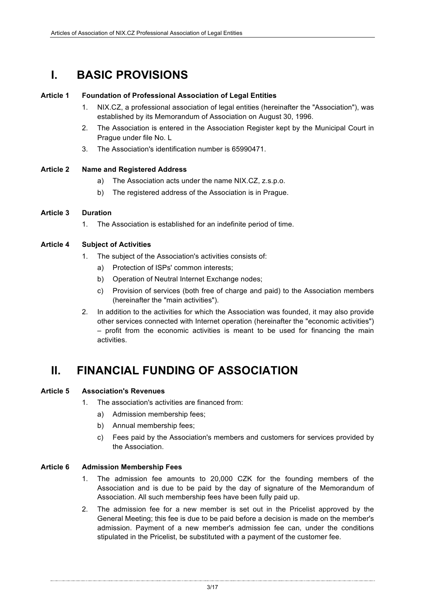### **I. BASIC PROVISIONS**

#### **Article 1 Foundation of Professional Association of Legal Entities**

- 1. NIX.CZ, a professional association of legal entities (hereinafter the "Association"), was established by its Memorandum of Association on August 30, 1996.
- 2. The Association is entered in the Association Register kept by the Municipal Court in Prague under file No. L
- 3. The Association's identification number is 65990471.

#### **Article 2 Name and Registered Address**

- a) The Association acts under the name NIX.CZ, z.s.p.o.
- b) The registered address of the Association is in Prague.

#### **Article 3 Duration**

1. The Association is established for an indefinite period of time.

#### **Article 4 Subject of Activities**

- 1. The subject of the Association's activities consists of:
	- a) Protection of ISPs' common interests;
	- b) Operation of Neutral Internet Exchange nodes;
	- c) Provision of services (both free of charge and paid) to the Association members (hereinafter the "main activities").
- 2. In addition to the activities for which the Association was founded, it may also provide other services connected with Internet operation (hereinafter the "economic activities") – profit from the economic activities is meant to be used for financing the main activities.

### **II. FINANCIAL FUNDING OF ASSOCIATION**

#### **Article 5 Association's Revenues**

- 1. The association's activities are financed from:
	- a) Admission membership fees;
	- b) Annual membership fees;
	- c) Fees paid by the Association's members and customers for services provided by the Association.

#### **Article 6 Admission Membership Fees**

- 1. The admission fee amounts to 20,000 CZK for the founding members of the Association and is due to be paid by the day of signature of the Memorandum of Association. All such membership fees have been fully paid up.
- 2. The admission fee for a new member is set out in the Pricelist approved by the General Meeting; this fee is due to be paid before a decision is made on the member's admission. Payment of a new member's admission fee can, under the conditions stipulated in the Pricelist, be substituted with a payment of the customer fee.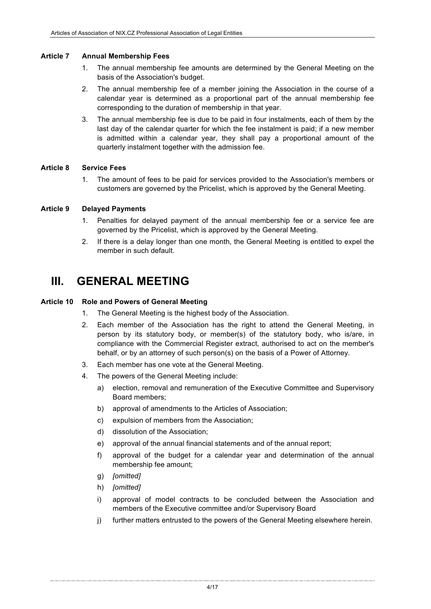#### **Article 7 Annual Membership Fees**

- 1. The annual membership fee amounts are determined by the General Meeting on the basis of the Association's budget.
- 2. The annual membership fee of a member joining the Association in the course of a calendar year is determined as a proportional part of the annual membership fee corresponding to the duration of membership in that year.
- 3. The annual membership fee is due to be paid in four instalments, each of them by the last day of the calendar quarter for which the fee instalment is paid; if a new member is admitted within a calendar year, they shall pay a proportional amount of the quarterly instalment together with the admission fee.

#### **Article 8 Service Fees**

1. The amount of fees to be paid for services provided to the Association's members or customers are governed by the Pricelist, which is approved by the General Meeting.

#### **Article 9 Delayed Payments**

- 1. Penalties for delayed payment of the annual membership fee or a service fee are governed by the Pricelist, which is approved by the General Meeting.
- 2. If there is a delay longer than one month, the General Meeting is entitled to expel the member in such default.

### **III. GENERAL MEETING**

#### **Article 10 Role and Powers of General Meeting**

- 1. The General Meeting is the highest body of the Association.
- 2. Each member of the Association has the right to attend the General Meeting, in person by its statutory body, or member(s) of the statutory body, who is/are, in compliance with the Commercial Register extract, authorised to act on the member's behalf, or by an attorney of such person(s) on the basis of a Power of Attorney.
- 3. Each member has one vote at the General Meeting.
- 4. The powers of the General Meeting include:
	- a) election, removal and remuneration of the Executive Committee and Supervisory Board members;
	- b) approval of amendments to the Articles of Association;
	- c) expulsion of members from the Association;
	- d) dissolution of the Association;
	- e) approval of the annual financial statements and of the annual report;
	- f) approval of the budget for a calendar year and determination of the annual membership fee amount;
	- g) *[omitted]*
	- h) *[omitted]*
	- i) approval of model contracts to be concluded between the Association and members of the Executive committee and/or Supervisory Board
	- j) further matters entrusted to the powers of the General Meeting elsewhere herein.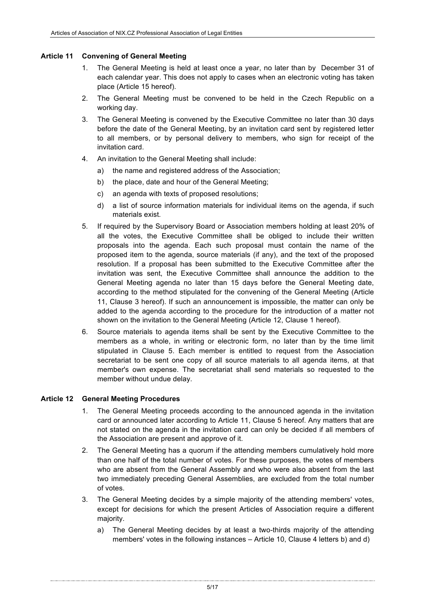#### **Article 11 Convening of General Meeting**

- 1. The General Meeting is held at least once a year, no later than by December 31 of each calendar year. This does not apply to cases when an electronic voting has taken place (Article 15 hereof).
- 2. The General Meeting must be convened to be held in the Czech Republic on a working day.
- 3. The General Meeting is convened by the Executive Committee no later than 30 days before the date of the General Meeting, by an invitation card sent by registered letter to all members, or by personal delivery to members, who sign for receipt of the invitation card.
- 4. An invitation to the General Meeting shall include:
	- a) the name and registered address of the Association;
	- b) the place, date and hour of the General Meeting;
	- c) an agenda with texts of proposed resolutions;
	- d) a list of source information materials for individual items on the agenda, if such materials exist.
- 5. If required by the Supervisory Board or Association members holding at least 20% of all the votes, the Executive Committee shall be obliged to include their written proposals into the agenda. Each such proposal must contain the name of the proposed item to the agenda, source materials (if any), and the text of the proposed resolution. If a proposal has been submitted to the Executive Committee after the invitation was sent, the Executive Committee shall announce the addition to the General Meeting agenda no later than 15 days before the General Meeting date, according to the method stipulated for the convening of the General Meeting (Article 11, Clause 3 hereof). If such an announcement is impossible, the matter can only be added to the agenda according to the procedure for the introduction of a matter not shown on the invitation to the General Meeting (Article 12, Clause 1 hereof).
- 6. Source materials to agenda items shall be sent by the Executive Committee to the members as a whole, in writing or electronic form, no later than by the time limit stipulated in Clause 5. Each member is entitled to request from the Association secretariat to be sent one copy of all source materials to all agenda items, at that member's own expense. The secretariat shall send materials so requested to the member without undue delay.

#### **Article 12 General Meeting Procedures**

- 1. The General Meeting proceeds according to the announced agenda in the invitation card or announced later according to Article 11, Clause 5 hereof. Any matters that are not stated on the agenda in the invitation card can only be decided if all members of the Association are present and approve of it.
- 2. The General Meeting has a quorum if the attending members cumulatively hold more than one half of the total number of votes. For these purposes, the votes of members who are absent from the General Assembly and who were also absent from the last two immediately preceding General Assemblies, are excluded from the total number of votes.
- 3. The General Meeting decides by a simple majority of the attending members' votes, except for decisions for which the present Articles of Association require a different majority.
	- a) The General Meeting decides by at least a two-thirds majority of the attending members' votes in the following instances – Article 10, Clause 4 letters b) and d)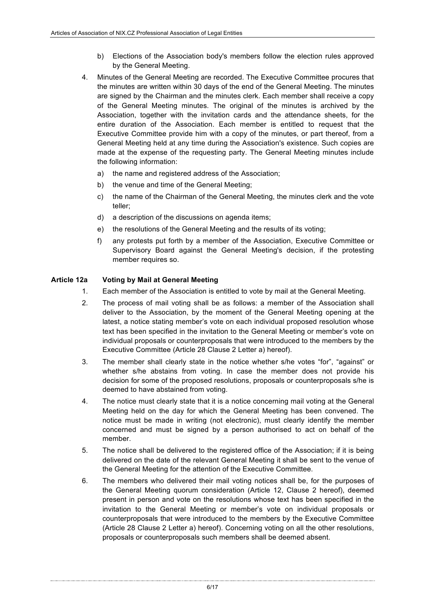- b) Elections of the Association body's members follow the election rules approved by the General Meeting.
- 4. Minutes of the General Meeting are recorded. The Executive Committee procures that the minutes are written within 30 days of the end of the General Meeting. The minutes are signed by the Chairman and the minutes clerk. Each member shall receive a copy of the General Meeting minutes. The original of the minutes is archived by the Association, together with the invitation cards and the attendance sheets, for the entire duration of the Association. Each member is entitled to request that the Executive Committee provide him with a copy of the minutes, or part thereof, from a General Meeting held at any time during the Association's existence. Such copies are made at the expense of the requesting party. The General Meeting minutes include the following information:
	- a) the name and registered address of the Association;
	- b) the venue and time of the General Meeting;
	- c) the name of the Chairman of the General Meeting, the minutes clerk and the vote teller;
	- d) a description of the discussions on agenda items;
	- e) the resolutions of the General Meeting and the results of its voting;
	- f) any protests put forth by a member of the Association, Executive Committee or Supervisory Board against the General Meeting's decision, if the protesting member requires so.

#### **Article 12a Voting by Mail at General Meeting**

- 1. Each member of the Association is entitled to vote by mail at the General Meeting.
- 2. The process of mail voting shall be as follows: a member of the Association shall deliver to the Association, by the moment of the General Meeting opening at the latest, a notice stating member's vote on each individual proposed resolution whose text has been specified in the invitation to the General Meeting or member's vote on individual proposals or counterproposals that were introduced to the members by the Executive Committee (Article 28 Clause 2 Letter a) hereof).
- 3. The member shall clearly state in the notice whether s/he votes "for", "against" or whether s/he abstains from voting. In case the member does not provide his decision for some of the proposed resolutions, proposals or counterproposals s/he is deemed to have abstained from voting.
- 4. The notice must clearly state that it is a notice concerning mail voting at the General Meeting held on the day for which the General Meeting has been convened. The notice must be made in writing (not electronic), must clearly identify the member concerned and must be signed by a person authorised to act on behalf of the member.
- 5. The notice shall be delivered to the registered office of the Association; if it is being delivered on the date of the relevant General Meeting it shall be sent to the venue of the General Meeting for the attention of the Executive Committee.
- 6. The members who delivered their mail voting notices shall be, for the purposes of the General Meeting quorum consideration (Article 12, Clause 2 hereof), deemed present in person and vote on the resolutions whose text has been specified in the invitation to the General Meeting or member's vote on individual proposals or counterproposals that were introduced to the members by the Executive Committee (Article 28 Clause 2 Letter a) hereof). Concerning voting on all the other resolutions, proposals or counterproposals such members shall be deemed absent.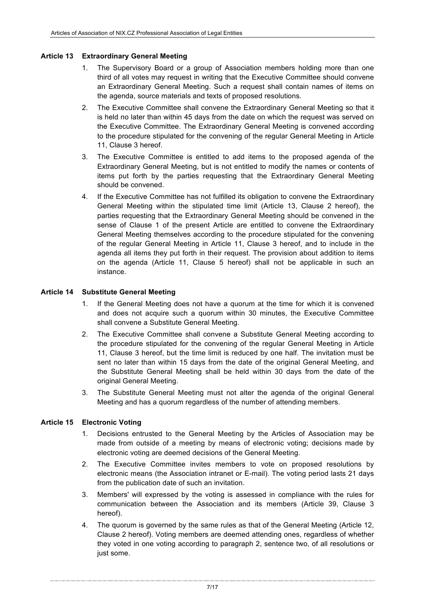#### **Article 13 Extraordinary General Meeting**

- 1. The Supervisory Board or a group of Association members holding more than one third of all votes may request in writing that the Executive Committee should convene an Extraordinary General Meeting. Such a request shall contain names of items on the agenda, source materials and texts of proposed resolutions.
- 2. The Executive Committee shall convene the Extraordinary General Meeting so that it is held no later than within 45 days from the date on which the request was served on the Executive Committee. The Extraordinary General Meeting is convened according to the procedure stipulated for the convening of the regular General Meeting in Article 11, Clause 3 hereof.
- 3. The Executive Committee is entitled to add items to the proposed agenda of the Extraordinary General Meeting, but is not entitled to modify the names or contents of items put forth by the parties requesting that the Extraordinary General Meeting should be convened.
- 4. If the Executive Committee has not fulfilled its obligation to convene the Extraordinary General Meeting within the stipulated time limit (Article 13, Clause 2 hereof), the parties requesting that the Extraordinary General Meeting should be convened in the sense of Clause 1 of the present Article are entitled to convene the Extraordinary General Meeting themselves according to the procedure stipulated for the convening of the regular General Meeting in Article 11, Clause 3 hereof, and to include in the agenda all items they put forth in their request. The provision about addition to items on the agenda (Article 11, Clause 5 hereof) shall not be applicable in such an instance.

#### **Article 14 Substitute General Meeting**

- 1. If the General Meeting does not have a quorum at the time for which it is convened and does not acquire such a quorum within 30 minutes, the Executive Committee shall convene a Substitute General Meeting.
- 2. The Executive Committee shall convene a Substitute General Meeting according to the procedure stipulated for the convening of the regular General Meeting in Article 11, Clause 3 hereof, but the time limit is reduced by one half. The invitation must be sent no later than within 15 days from the date of the original General Meeting, and the Substitute General Meeting shall be held within 30 days from the date of the original General Meeting.
- 3. The Substitute General Meeting must not alter the agenda of the original General Meeting and has a quorum regardless of the number of attending members.

#### **Article 15 Electronic Voting**

- 1. Decisions entrusted to the General Meeting by the Articles of Association may be made from outside of a meeting by means of electronic voting; decisions made by electronic voting are deemed decisions of the General Meeting.
- 2. The Executive Committee invites members to vote on proposed resolutions by electronic means (the Association intranet or E-mail). The voting period lasts 21 days from the publication date of such an invitation.
- 3. Members' will expressed by the voting is assessed in compliance with the rules for communication between the Association and its members (Article 39, Clause 3 hereof).
- 4. The quorum is governed by the same rules as that of the General Meeting (Article 12, Clause 2 hereof). Voting members are deemed attending ones, regardless of whether they voted in one voting according to paragraph 2, sentence two, of all resolutions or just some.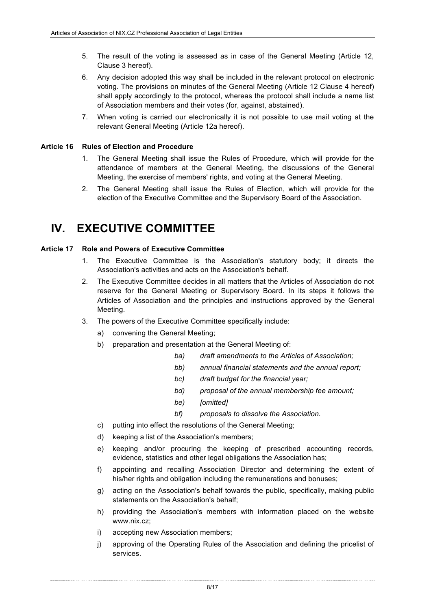- 5. The result of the voting is assessed as in case of the General Meeting (Article 12, Clause 3 hereof).
- 6. Any decision adopted this way shall be included in the relevant protocol on electronic voting. The provisions on minutes of the General Meeting (Article 12 Clause 4 hereof) shall apply accordingly to the protocol, whereas the protocol shall include a name list of Association members and their votes (for, against, abstained).
- 7. When voting is carried our electronically it is not possible to use mail voting at the relevant General Meeting (Article 12a hereof).

#### **Article 16 Rules of Election and Procedure**

- 1. The General Meeting shall issue the Rules of Procedure, which will provide for the attendance of members at the General Meeting, the discussions of the General Meeting, the exercise of members' rights, and voting at the General Meeting.
- 2. The General Meeting shall issue the Rules of Election, which will provide for the election of the Executive Committee and the Supervisory Board of the Association.

### **IV. EXECUTIVE COMMITTEE**

#### **Article 17 Role and Powers of Executive Committee**

- 1. The Executive Committee is the Association's statutory body; it directs the Association's activities and acts on the Association's behalf.
- 2. The Executive Committee decides in all matters that the Articles of Association do not reserve for the General Meeting or Supervisory Board. In its steps it follows the Articles of Association and the principles and instructions approved by the General Meeting.
- 3. The powers of the Executive Committee specifically include:
	- a) convening the General Meeting;
	- b) preparation and presentation at the General Meeting of:
		- *ba) draft amendments to the Articles of Association;*
		- *bb) annual financial statements and the annual report;*
		- *bc) draft budget for the financial year;*
		- *bd) proposal of the annual membership fee amount;*
		- *be) [omitted]*
		- *bf) proposals to dissolve the Association.*
	- c) putting into effect the resolutions of the General Meeting;
	- d) keeping a list of the Association's members;
	- e) keeping and/or procuring the keeping of prescribed accounting records, evidence, statistics and other legal obligations the Association has;
	- f) appointing and recalling Association Director and determining the extent of his/her rights and obligation including the remunerations and bonuses;
	- g) acting on the Association's behalf towards the public, specifically, making public statements on the Association's behalf;
	- h) providing the Association's members with information placed on the website www.nix.cz;
	- i) accepting new Association members;
	- j) approving of the Operating Rules of the Association and defining the pricelist of services.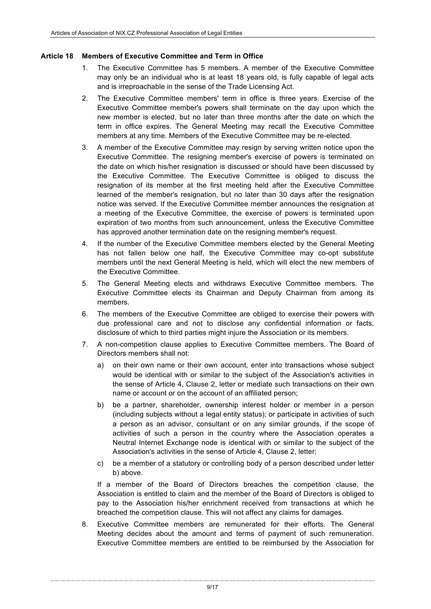#### **Article 18 Members of Executive Committee and Term in Office**

- 1. The Executive Committee has 5 members. A member of the Executive Committee may only be an individual who is at least 18 years old, is fully capable of legal acts and is irreproachable in the sense of the Trade Licensing Act.
- 2. The Executive Committee members' term in office is three years. Exercise of the Executive Committee member's powers shall terminate on the day upon which the new member is elected, but no later than three months after the date on which the term in office expires. The General Meeting may recall the Executive Committee members at any time. Members of the Executive Committee may be re-elected.
- 3. A member of the Executive Committee may resign by serving written notice upon the Executive Committee. The resigning member's exercise of powers is terminated on the date on which his/her resignation is discussed or should have been discussed by the Executive Committee. The Executive Committee is obliged to discuss the resignation of its member at the first meeting held after the Executive Committee learned of the member's resignation, but no later than 30 days after the resignation notice was served. If the Executive Committee member announces the resignation at a meeting of the Executive Committee, the exercise of powers is terminated upon expiration of two months from such announcement, unless the Executive Committee has approved another termination date on the resigning member's request.
- 4. If the number of the Executive Committee members elected by the General Meeting has not fallen below one half, the Executive Committee may co-opt substitute members until the next General Meeting is held, which will elect the new members of the Executive Committee.
- 5. The General Meeting elects and withdraws Executive Committee members. The Executive Committee elects its Chairman and Deputy Chairman from among its members.
- 6. The members of the Executive Committee are obliged to exercise their powers with due professional care and not to disclose any confidential information or facts, disclosure of which to third parties might injure the Association or its members.
- 7. A non-competition clause applies to Executive Committee members. The Board of Directors members shall not:
	- a) on their own name or their own account, enter into transactions whose subject would be identical with or similar to the subject of the Association's activities in the sense of Article 4, Clause 2, letter or mediate such transactions on their own name or account or on the account of an affiliated person;
	- b) be a partner, shareholder, ownership interest holder or member in a person (including subjects without a legal entity status); or participate in activities of such a person as an advisor, consultant or on any similar grounds, if the scope of activities of such a person in the country where the Association operates a Neutral Internet Exchange node is identical with or similar to the subject of the Association's activities in the sense of Article 4, Clause 2, letter;
	- c) be a member of a statutory or controlling body of a person described under letter b) above.

If a member of the Board of Directors breaches the competition clause, the Association is entitled to claim and the member of the Board of Directors is obliged to pay to the Association his/her enrichment received from transactions at which he breached the competition clause. This will not affect any claims for damages.

8. Executive Committee members are remunerated for their efforts. The General Meeting decides about the amount and terms of payment of such remuneration. Executive Committee members are entitled to be reimbursed by the Association for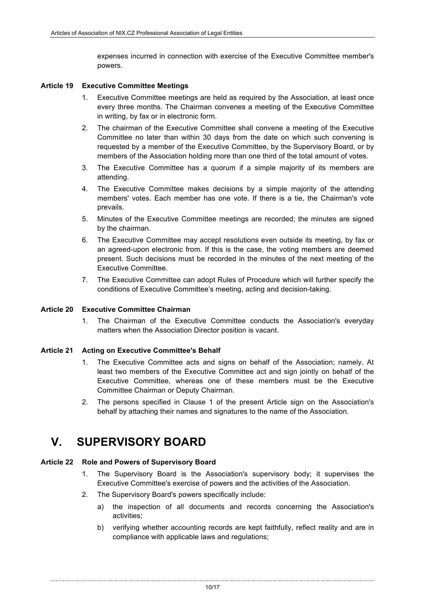expenses incurred in connection with exercise of the Executive Committee member's powers.

#### **Article 19 Executive Committee Meetings**

- 1. Executive Committee meetings are held as required by the Association, at least once every three months. The Chairman convenes a meeting of the Executive Committee in writing, by fax or in electronic form.
- 2. The chairman of the Executive Committee shall convene a meeting of the Executive Committee no later than within 30 days from the date on which such convening is requested by a member of the Executive Committee, by the Supervisory Board, or by members of the Association holding more than one third of the total amount of votes.
- 3. The Executive Committee has a quorum if a simple majority of its members are attending.
- 4. The Executive Committee makes decisions by a simple majority of the attending members' votes. Each member has one vote. If there is a tie, the Chairman's vote prevails.
- 5. Minutes of the Executive Committee meetings are recorded; the minutes are signed by the chairman.
- 6. The Executive Committee may accept resolutions even outside its meeting, by fax or an agreed-upon electronic from. If this is the case, the voting members are deemed present. Such decisions must be recorded in the minutes of the next meeting of the Executive Committee.
- 7. The Executive Committee can adopt Rules of Procedure which will further specify the conditions of Executive Committee's meeting, acting and decision-taking.

#### **Article 20 Executive Committee Chairman**

1. The Chairman of the Executive Committee conducts the Association's everyday matters when the Association Director position is vacant.

#### **Article 21 Acting on Executive Committee's Behalf**

- 1. The Executive Committee acts and signs on behalf of the Association; namely. At least two members of the Executive Committee act and sign jointly on behalf of the Executive Committee, whereas one of these members must be the Executive Committee Chairman or Deputy Chairman.
- 2. The persons specified in Clause 1 of the present Article sign on the Association's behalf by attaching their names and signatures to the name of the Association.

### **V. SUPERVISORY BOARD**

#### **Article 22 Role and Powers of Supervisory Board**

- 1. The Supervisory Board is the Association's supervisory body; it supervises the Executive Committee's exercise of powers and the activities of the Association.
- 2. The Supervisory Board's powers specifically include:
	- a) the inspection of all documents and records concerning the Association's activities;
	- b) verifying whether accounting records are kept faithfully, reflect reality and are in compliance with applicable laws and regulations;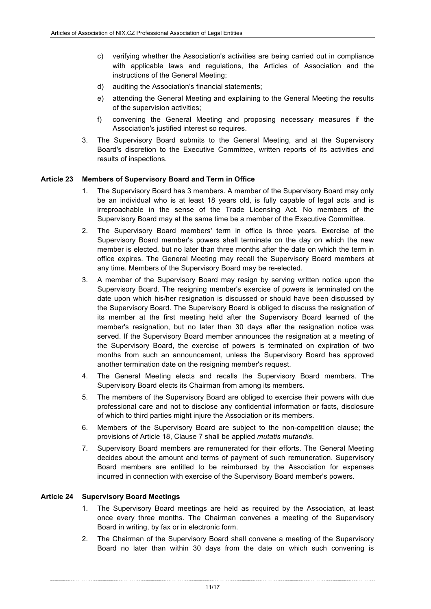- c) verifying whether the Association's activities are being carried out in compliance with applicable laws and regulations, the Articles of Association and the instructions of the General Meeting;
- d) auditing the Association's financial statements;
- e) attending the General Meeting and explaining to the General Meeting the results of the supervision activities;
- f) convening the General Meeting and proposing necessary measures if the Association's justified interest so requires.
- 3. The Supervisory Board submits to the General Meeting, and at the Supervisory Board's discretion to the Executive Committee, written reports of its activities and results of inspections.

#### **Article 23 Members of Supervisory Board and Term in Office**

- 1. The Supervisory Board has 3 members. A member of the Supervisory Board may only be an individual who is at least 18 years old, is fully capable of legal acts and is irreproachable in the sense of the Trade Licensing Act. No members of the Supervisory Board may at the same time be a member of the Executive Committee.
- 2. The Supervisory Board members' term in office is three years. Exercise of the Supervisory Board member's powers shall terminate on the day on which the new member is elected, but no later than three months after the date on which the term in office expires. The General Meeting may recall the Supervisory Board members at any time. Members of the Supervisory Board may be re-elected.
- 3. A member of the Supervisory Board may resign by serving written notice upon the Supervisory Board. The resigning member's exercise of powers is terminated on the date upon which his/her resignation is discussed or should have been discussed by the Supervisory Board. The Supervisory Board is obliged to discuss the resignation of its member at the first meeting held after the Supervisory Board learned of the member's resignation, but no later than 30 days after the resignation notice was served. If the Supervisory Board member announces the resignation at a meeting of the Supervisory Board, the exercise of powers is terminated on expiration of two months from such an announcement, unless the Supervisory Board has approved another termination date on the resigning member's request.
- 4. The General Meeting elects and recalls the Supervisory Board members. The Supervisory Board elects its Chairman from among its members.
- 5. The members of the Supervisory Board are obliged to exercise their powers with due professional care and not to disclose any confidential information or facts, disclosure of which to third parties might injure the Association or its members.
- 6. Members of the Supervisory Board are subject to the non-competition clause; the provisions of Article 18, Clause 7 shall be applied *mutatis mutandis*.
- 7. Supervisory Board members are remunerated for their efforts. The General Meeting decides about the amount and terms of payment of such remuneration. Supervisory Board members are entitled to be reimbursed by the Association for expenses incurred in connection with exercise of the Supervisory Board member's powers.

#### **Article 24 Supervisory Board Meetings**

- 1. The Supervisory Board meetings are held as required by the Association, at least once every three months. The Chairman convenes a meeting of the Supervisory Board in writing, by fax or in electronic form.
- 2. The Chairman of the Supervisory Board shall convene a meeting of the Supervisory Board no later than within 30 days from the date on which such convening is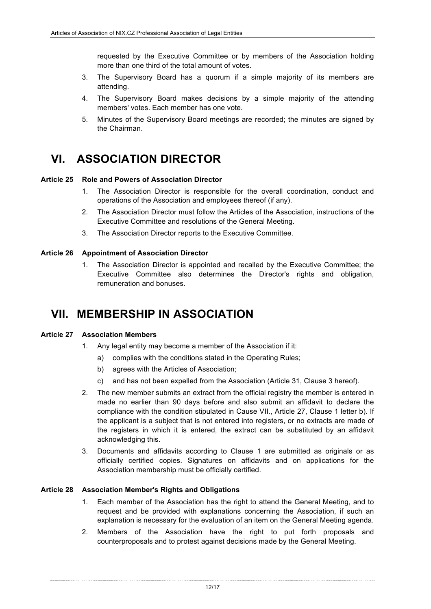requested by the Executive Committee or by members of the Association holding more than one third of the total amount of votes.

- 3. The Supervisory Board has a quorum if a simple majority of its members are attending.
- 4. The Supervisory Board makes decisions by a simple majority of the attending members' votes. Each member has one vote.
- 5. Minutes of the Supervisory Board meetings are recorded; the minutes are signed by the Chairman.

### **VI. ASSOCIATION DIRECTOR**

#### **Article 25 Role and Powers of Association Director**

- 1. The Association Director is responsible for the overall coordination, conduct and operations of the Association and employees thereof (if any).
- 2. The Association Director must follow the Articles of the Association, instructions of the Executive Committee and resolutions of the General Meeting.
- 3. The Association Director reports to the Executive Committee.

#### **Article 26 Appointment of Association Director**

1. The Association Director is appointed and recalled by the Executive Committee; the Executive Committee also determines the Director's rights and obligation, remuneration and bonuses.

### **VII. MEMBERSHIP IN ASSOCIATION**

#### **Article 27 Association Members**

- 1. Any legal entity may become a member of the Association if it:
	- a) complies with the conditions stated in the Operating Rules;
	- b) agrees with the Articles of Association;
	- c) and has not been expelled from the Association (Article 31, Clause 3 hereof).
- 2. The new member submits an extract from the official registry the member is entered in made no earlier than 90 days before and also submit an affidavit to declare the compliance with the condition stipulated in Cause VII., Article 27, Clause 1 letter b). If the applicant is a subject that is not entered into registers, or no extracts are made of the registers in which it is entered, the extract can be substituted by an affidavit acknowledging this.
- 3. Documents and affidavits according to Clause 1 are submitted as originals or as officially certified copies. Signatures on affidavits and on applications for the Association membership must be officially certified.

#### **Article 28 Association Member's Rights and Obligations**

- 1. Each member of the Association has the right to attend the General Meeting, and to request and be provided with explanations concerning the Association, if such an explanation is necessary for the evaluation of an item on the General Meeting agenda.
- 2. Members of the Association have the right to put forth proposals and counterproposals and to protest against decisions made by the General Meeting.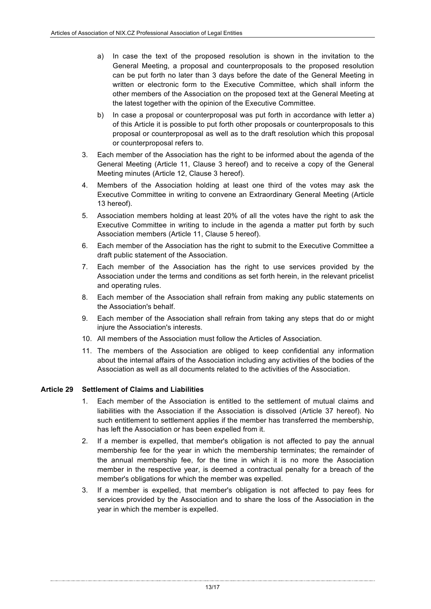- a) In case the text of the proposed resolution is shown in the invitation to the General Meeting, a proposal and counterproposals to the proposed resolution can be put forth no later than 3 days before the date of the General Meeting in written or electronic form to the Executive Committee, which shall inform the other members of the Association on the proposed text at the General Meeting at the latest together with the opinion of the Executive Committee.
- b) In case a proposal or counterproposal was put forth in accordance with letter a) of this Article it is possible to put forth other proposals or counterproposals to this proposal or counterproposal as well as to the draft resolution which this proposal or counterproposal refers to.
- 3. Each member of the Association has the right to be informed about the agenda of the General Meeting (Article 11, Clause 3 hereof) and to receive a copy of the General Meeting minutes (Article 12, Clause 3 hereof).
- 4. Members of the Association holding at least one third of the votes may ask the Executive Committee in writing to convene an Extraordinary General Meeting (Article 13 hereof).
- 5. Association members holding at least 20% of all the votes have the right to ask the Executive Committee in writing to include in the agenda a matter put forth by such Association members (Article 11, Clause 5 hereof).
- 6. Each member of the Association has the right to submit to the Executive Committee a draft public statement of the Association.
- 7. Each member of the Association has the right to use services provided by the Association under the terms and conditions as set forth herein, in the relevant pricelist and operating rules.
- 8. Each member of the Association shall refrain from making any public statements on the Association's behalf.
- 9. Each member of the Association shall refrain from taking any steps that do or might injure the Association's interests.
- 10. All members of the Association must follow the Articles of Association.
- 11. The members of the Association are obliged to keep confidential any information about the internal affairs of the Association including any activities of the bodies of the Association as well as all documents related to the activities of the Association.

#### **Article 29 Settlement of Claims and Liabilities**

- 1. Each member of the Association is entitled to the settlement of mutual claims and liabilities with the Association if the Association is dissolved (Article 37 hereof). No such entitlement to settlement applies if the member has transferred the membership, has left the Association or has been expelled from it.
- 2. If a member is expelled, that member's obligation is not affected to pay the annual membership fee for the year in which the membership terminates; the remainder of the annual membership fee, for the time in which it is no more the Association member in the respective year, is deemed a contractual penalty for a breach of the member's obligations for which the member was expelled.
- 3. If a member is expelled, that member's obligation is not affected to pay fees for services provided by the Association and to share the loss of the Association in the year in which the member is expelled.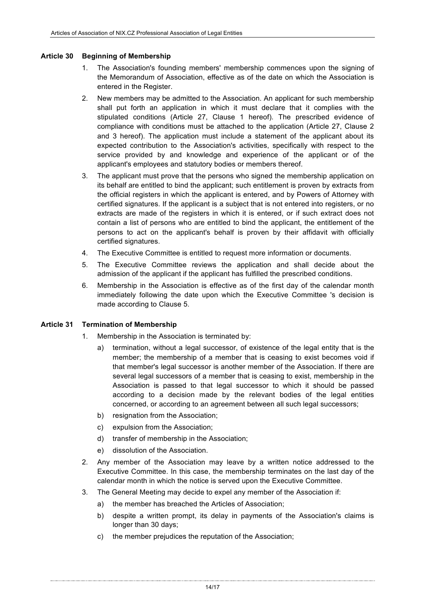#### **Article 30 Beginning of Membership**

- 1. The Association's founding members' membership commences upon the signing of the Memorandum of Association, effective as of the date on which the Association is entered in the Register.
- 2. New members may be admitted to the Association. An applicant for such membership shall put forth an application in which it must declare that it complies with the stipulated conditions (Article 27, Clause 1 hereof). The prescribed evidence of compliance with conditions must be attached to the application (Article 27, Clause 2 and 3 hereof). The application must include a statement of the applicant about its expected contribution to the Association's activities, specifically with respect to the service provided by and knowledge and experience of the applicant or of the applicant's employees and statutory bodies or members thereof.
- 3. The applicant must prove that the persons who signed the membership application on its behalf are entitled to bind the applicant; such entitlement is proven by extracts from the official registers in which the applicant is entered, and by Powers of Attorney with certified signatures. If the applicant is a subject that is not entered into registers, or no extracts are made of the registers in which it is entered, or if such extract does not contain a list of persons who are entitled to bind the applicant, the entitlement of the persons to act on the applicant's behalf is proven by their affidavit with officially certified signatures.
- 4. The Executive Committee is entitled to request more information or documents.
- 5. The Executive Committee reviews the application and shall decide about the admission of the applicant if the applicant has fulfilled the prescribed conditions.
- 6. Membership in the Association is effective as of the first day of the calendar month immediately following the date upon which the Executive Committee 's decision is made according to Clause 5.

#### **Article 31 Termination of Membership**

- 1. Membership in the Association is terminated by:
	- a) termination, without a legal successor, of existence of the legal entity that is the member; the membership of a member that is ceasing to exist becomes void if that member's legal successor is another member of the Association. If there are several legal successors of a member that is ceasing to exist, membership in the Association is passed to that legal successor to which it should be passed according to a decision made by the relevant bodies of the legal entities concerned, or according to an agreement between all such legal successors;
	- b) resignation from the Association;
	- c) expulsion from the Association;
	- d) transfer of membership in the Association;
	- e) dissolution of the Association.
- 2. Any member of the Association may leave by a written notice addressed to the Executive Committee. In this case, the membership terminates on the last day of the calendar month in which the notice is served upon the Executive Committee.
- 3. The General Meeting may decide to expel any member of the Association if:
	- a) the member has breached the Articles of Association;
	- b) despite a written prompt, its delay in payments of the Association's claims is longer than 30 days;

c) the member prejudices the reputation of the Association;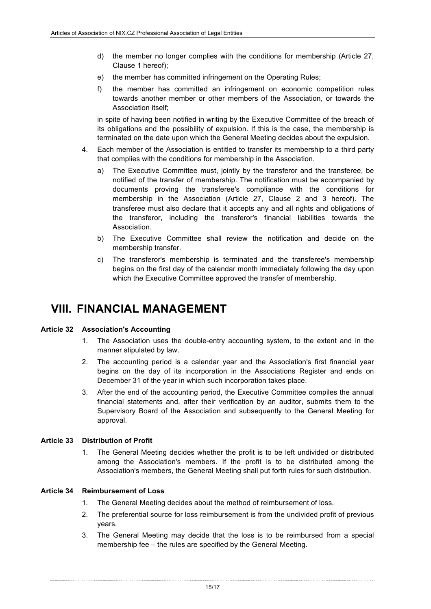- d) the member no longer complies with the conditions for membership (Article 27, Clause 1 hereof);
- e) the member has committed infringement on the Operating Rules;
- f) the member has committed an infringement on economic competition rules towards another member or other members of the Association, or towards the Association itself;

in spite of having been notified in writing by the Executive Committee of the breach of its obligations and the possibility of expulsion. If this is the case, the membership is terminated on the date upon which the General Meeting decides about the expulsion.

- 4. Each member of the Association is entitled to transfer its membership to a third party that complies with the conditions for membership in the Association.
	- a) The Executive Committee must, jointly by the transferor and the transferee, be notified of the transfer of membership. The notification must be accompanied by documents proving the transferee's compliance with the conditions for membership in the Association (Article 27, Clause 2 and 3 hereof). The transferee must also declare that it accepts any and all rights and obligations of the transferor, including the transferor's financial liabilities towards the Association.
	- b) The Executive Committee shall review the notification and decide on the membership transfer.
	- c) The transferor's membership is terminated and the transferee's membership begins on the first day of the calendar month immediately following the day upon which the Executive Committee approved the transfer of membership.

### **VIII. FINANCIAL MANAGEMENT**

#### **Article 32 Association's Accounting**

- 1. The Association uses the double-entry accounting system, to the extent and in the manner stipulated by law.
- 2. The accounting period is a calendar year and the Association's first financial year begins on the day of its incorporation in the Associations Register and ends on December 31 of the year in which such incorporation takes place.
- 3. After the end of the accounting period, the Executive Committee compiles the annual financial statements and, after their verification by an auditor, submits them to the Supervisory Board of the Association and subsequently to the General Meeting for approval.

#### **Article 33 Distribution of Profit**

1. The General Meeting decides whether the profit is to be left undivided or distributed among the Association's members. If the profit is to be distributed among the Association's members, the General Meeting shall put forth rules for such distribution.

#### **Article 34 Reimbursement of Loss**

- 1. The General Meeting decides about the method of reimbursement of loss.
- 2. The preferential source for loss reimbursement is from the undivided profit of previous years.
- 3. The General Meeting may decide that the loss is to be reimbursed from a special membership fee – the rules are specified by the General Meeting.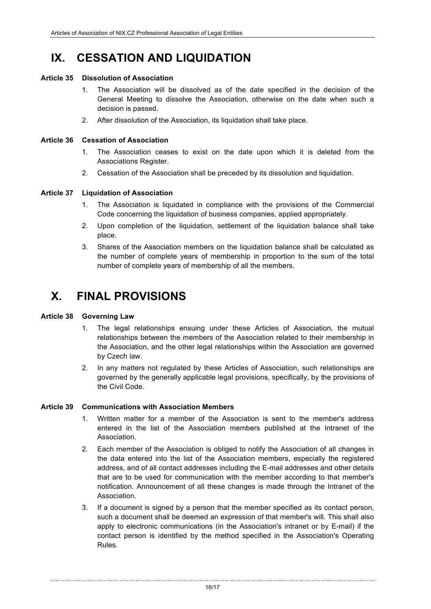### **IX. CESSATION AND LIQUIDATION**

#### **Article 35 Dissolution of Association**

- 1. The Association will be dissolved as of the date specified in the decision of the General Meeting to dissolve the Association, otherwise on the date when such a decision is passed.
- 2. After dissolution of the Association, its liquidation shall take place.

#### **Article 36 Cessation of Association**

- 1. The Association ceases to exist on the date upon which it is deleted from the Associations Register.
- 2. Cessation of the Association shall be preceded by its dissolution and liquidation.

#### **Article 37 Liquidation of Association**

- 1. The Association is liquidated in compliance with the provisions of the Commercial Code concerning the liquidation of business companies, applied appropriately.
- 2. Upon completion of the liquidation, settlement of the liquidation balance shall take place.
- 3. Shares of the Association members on the liquidation balance shall be calculated as the number of complete years of membership in proportion to the sum of the total number of complete years of membership of all the members.

### **X. FINAL PROVISIONS**

#### **Article 38 Governing Law**

- 1. The legal relationships ensuing under these Articles of Association, the mutual relationships between the members of the Association related to their membership in the Association, and the other legal relationships within the Association are governed by Czech law.
- 2. In any matters not regulated by these Articles of Association, such relationships are governed by the generally applicable legal provisions, specifically, by the provisions of the Civil Code.

#### **Article 39 Communications with Association Members**

- 1. Written matter for a member of the Association is sent to the member's address entered in the list of the Association members published at the Intranet of the Association.
- 2. Each member of the Association is obliged to notify the Association of all changes in the data entered into the list of the Association members, especially the registered address, and of all contact addresses including the E-mail addresses and other details that are to be used for communication with the member according to that member's notification. Announcement of all these changes is made through the Intranet of the Association.
- 3. If a document is signed by a person that the member specified as its contact person, such a document shall be deemed an expression of that member's will. This shall also apply to electronic communications (in the Association's intranet or by E-mail) if the contact person is identified by the method specified in the Association's Operating Rules.